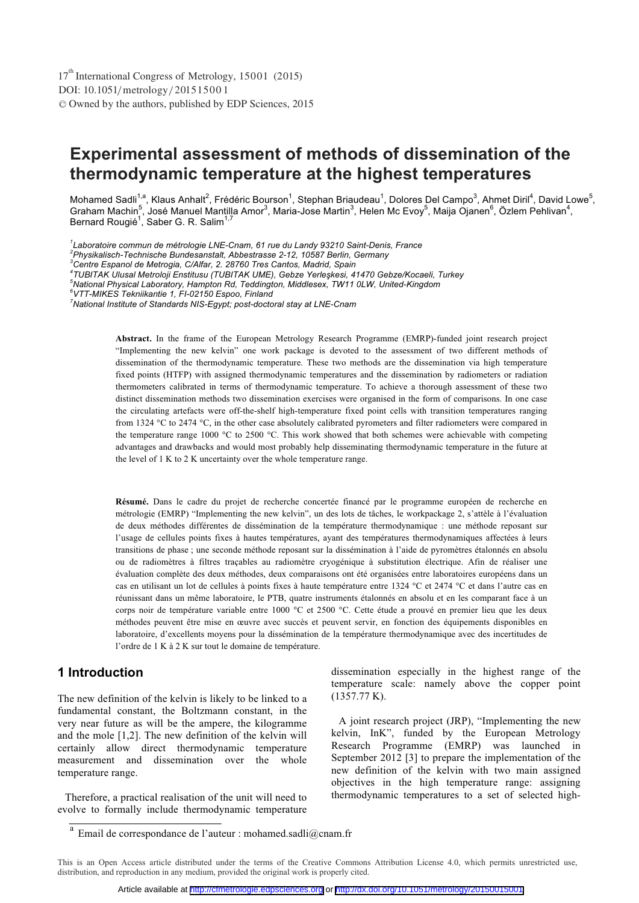# **Experimental assessment of methods of dissemination of the thermodynamic temperature at the highest temperatures**

Mohamed Sadli<sup>1,a</sup>, Klaus Anhalt<sup>2</sup>, Frédéric Bourson<sup>1</sup>, Stephan Briaudeau<sup>1</sup>, Dolores Del Campo<sup>3</sup>, Ahmet Diril<sup>4</sup>, David Lowe<sup>5</sup>, Graham Machin<sup>5</sup>, José Manuel Mantilla Amor<sup>3</sup>, Maria-Jose Martin<sup>3</sup>, Helen Mc Evoy<sup>5</sup>, Maija Ojanen<sup>6</sup>, Özlem Pehlivan<sup>4</sup>,<br>Bernard Rougié<sup>1</sup>, Saber G. R. Salim<sup>1,7</sup>

<sup>1</sup> Laboratoire commun de métrologie LNE-Cnam, 61 rue du Landy 93210 Saint-Denis, France<br><sup>2</sup> Physikolisch Technische Bundesenstelt, Abbestresse 2,12, 10587 Berlin, Cermany

*Centre Espanol de Metrogia, C/Alfar, 2. 28760 Tres Cantos, Madrid, Spain 4*

*TUBITAK Ulusal Metroloji Enstitusu (TUBITAK UME), Gebze Yerleşkesi, 41470 Gebze/Kocaeli, Turkey 5*

*National Physical Laboratory, Hampton Rd, Teddington, Middlesex, TW11 0LW, United-Kingdom 6 VTT-MIKES Tekniikantie 1, FI-02150 Espoo, Finland* 

*7 National Institute of Standards NIS-Egypt; post-doctoral stay at LNE-Cnam* 

**Abstract.** In the frame of the European Metrology Research Programme (EMRP)-funded joint research project "Implementing the new kelvin" one work package is devoted to the assessment of two different methods of dissemination of the thermodynamic temperature. These two methods are the dissemination via high temperature fixed points (HTFP) with assigned thermodynamic temperatures and the dissemination by radiometers or radiation thermometers calibrated in terms of thermodynamic temperature. To achieve a thorough assessment of these two distinct dissemination methods two dissemination exercises were organised in the form of comparisons. In one case the circulating artefacts were off-the-shelf high-temperature fixed point cells with transition temperatures ranging from 1324 °C to 2474 °C, in the other case absolutely calibrated pyrometers and filter radiometers were compared in the temperature range 1000 °C to 2500 °C. This work showed that both schemes were achievable with competing advantages and drawbacks and would most probably help disseminating thermodynamic temperature in the future at the level of 1 K to 2 K uncertainty over the whole temperature range.

**Résumé.** Dans le cadre du projet de recherche concertée financé par le programme européen de recherche en métrologie (EMRP) "Implementing the new kelvin", un des lots de tâches, le workpackage 2, s'attèle à l'évaluation de deux méthodes différentes de dissémination de la température thermodynamique : une méthode reposant sur l'usage de cellules points fixes à hautes températures, ayant des températures thermodynamiques affectées à leurs transitions de phase ; une seconde méthode reposant sur la dissémination à l'aide de pyromètres étalonnés en absolu ou de radiomètres à filtres traçables au radiomètre cryogénique à substitution électrique. Afin de réaliser une évaluation complète des deux méthodes, deux comparaisons ont été organisées entre laboratoires européens dans un cas en utilisant un lot de cellules à points fixes à haute température entre 1324 °C et 2474 °C et dans l'autre cas en réunissant dans un même laboratoire, le PTB, quatre instruments étalonnés en absolu et en les comparant face à un corps noir de température variable entre 1000 °C et 2500 °C. Cette étude a prouvé en premier lieu que les deux méthodes peuvent être mise en œuvre avec succès et peuvent servir, en fonction des équipements disponibles en laboratoire, d'excellents moyens pour la dissémination de la température thermodynamique avec des incertitudes de l'ordre de 1 K à 2 K sur tout le domaine de température.

### **1 Introduction**

The new definition of the kelvin is likely to be linked to a fundamental constant, the Boltzmann constant, in the very near future as will be the ampere, the kilogramme and the mole [1,2]. The new definition of the kelvin will certainly allow direct thermodynamic temperature measurement and dissemination over the whole temperature range.

 Therefore, a practical realisation of the unit will need to evolve to formally include thermodynamic temperature

dissemination especially in the highest range of the temperature scale: namely above the copper point (1357.77 K).

 A joint research project (JRP), "Implementing the new kelvin, InK", funded by the European Metrology Research Programme (EMRP) was launched in September 2012 [3] to prepare the implementation of the new definition of the kelvin with two main assigned objectives in the high temperature range: assigning thermodynamic temperatures to a set of selected high-

*Physikalisch-Technische Bundesanstalt, Abbestrasse 2-12, 10587 Berlin, Germany 3*

a Email de correspondance de l'auteur : mohamed.sadli@cnam.fr

This is an Open Access article distributed under the terms of the Creative Commons Attribution License 4.0, which permits unrestricted use, distribution, and reproduction in any medium, provided the original work is properly cited.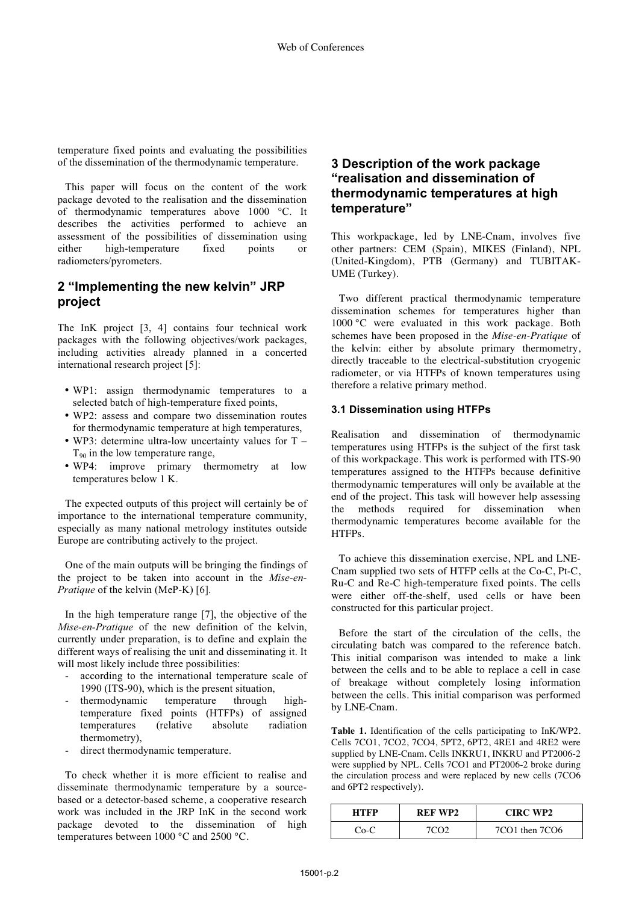temperature fixed points and evaluating the possibilities of the dissemination of the thermodynamic temperature.

 This paper will focus on the content of the work package devoted to the realisation and the dissemination of thermodynamic temperatures above 1000 °C. It describes the activities performed to achieve an assessment of the possibilities of dissemination using either high-temperature fixed points or radiometers/pyrometers.

### **2 "Implementing the new kelvin" JRP project**

The InK project [3, 4] contains four technical work packages with the following objectives/work packages, including activities already planned in a concerted international research project [5]:

- WP1: assign thermodynamic temperatures to a selected batch of high-temperature fixed points,
- WP2: assess and compare two dissemination routes for thermodynamic temperature at high temperatures,
- WP3: determine ultra-low uncertainty values for  $T T_{90}$  in the low temperature range,
- WP4: improve primary thermometry at low temperatures below 1 K.

 The expected outputs of this project will certainly be of importance to the international temperature community, especially as many national metrology institutes outside Europe are contributing actively to the project.

One of the main outputs will be bringing the findings of the project to be taken into account in the *Mise-en-Pratique* of the kelvin (MeP-K) [6].

In the high temperature range [7], the objective of the *Mise-en-Pratique* of the new definition of the kelvin, currently under preparation, is to define and explain the different ways of realising the unit and disseminating it. It will most likely include three possibilities:

- according to the international temperature scale of 1990 (ITS-90), which is the present situation,
- thermodynamic temperature through hightemperature fixed points (HTFPs) of assigned temperatures (relative absolute radiation thermometry),
- direct thermodynamic temperature.

 To check whether it is more efficient to realise and disseminate thermodynamic temperature by a sourcebased or a detector-based scheme, a cooperative research work was included in the JRP InK in the second work package devoted to the dissemination of high temperatures between 1000 °C and 2500 °C.

### **3 Description of the work package "realisation and dissemination of thermodynamic temperatures at high temperature"**

This workpackage, led by LNE-Cnam, involves five other partners: CEM (Spain), MIKES (Finland), NPL (United-Kingdom), PTB (Germany) and TUBITAK-UME (Turkey).

 Two different practical thermodynamic temperature dissemination schemes for temperatures higher than 1000 °C were evaluated in this work package. Both schemes have been proposed in the *Mise-en-Pratique* of the kelvin: either by absolute primary thermometry, directly traceable to the electrical-substitution cryogenic radiometer, or via HTFPs of known temperatures using therefore a relative primary method.

#### **3.1 Dissemination using HTFPs**

Realisation and dissemination of thermodynamic temperatures using HTFPs is the subject of the first task of this workpackage. This work is performed with ITS-90 temperatures assigned to the HTFPs because definitive thermodynamic temperatures will only be available at the end of the project. This task will however help assessing the methods required for dissemination when thermodynamic temperatures become available for the HTFPs.

 To achieve this dissemination exercise, NPL and LNE-Cnam supplied two sets of HTFP cells at the Co-C, Pt-C, Ru-C and Re-C high-temperature fixed points. The cells were either off-the-shelf, used cells or have been constructed for this particular project.

 Before the start of the circulation of the cells, the circulating batch was compared to the reference batch. This initial comparison was intended to make a link between the cells and to be able to replace a cell in case of breakage without completely losing information between the cells. This initial comparison was performed by LNE-Cnam.

**Table 1.** Identification of the cells participating to InK/WP2. Cells 7CO1, 7CO2, 7CO4, 5PT2, 6PT2, 4RE1 and 4RE2 were supplied by LNE-Cnam. Cells INKRU1, INKRU and PT2006-2 were supplied by NPL. Cells 7CO1 and PT2006-2 broke during the circulation process and were replaced by new cells (7CO6 and 6PT2 respectively).

| <b>HTFP</b> | REF WP2 | <b>CIRC WP2</b> |
|-------------|---------|-----------------|
| $Co-C$      | 7CO2    | 7CO1 then 7CO6  |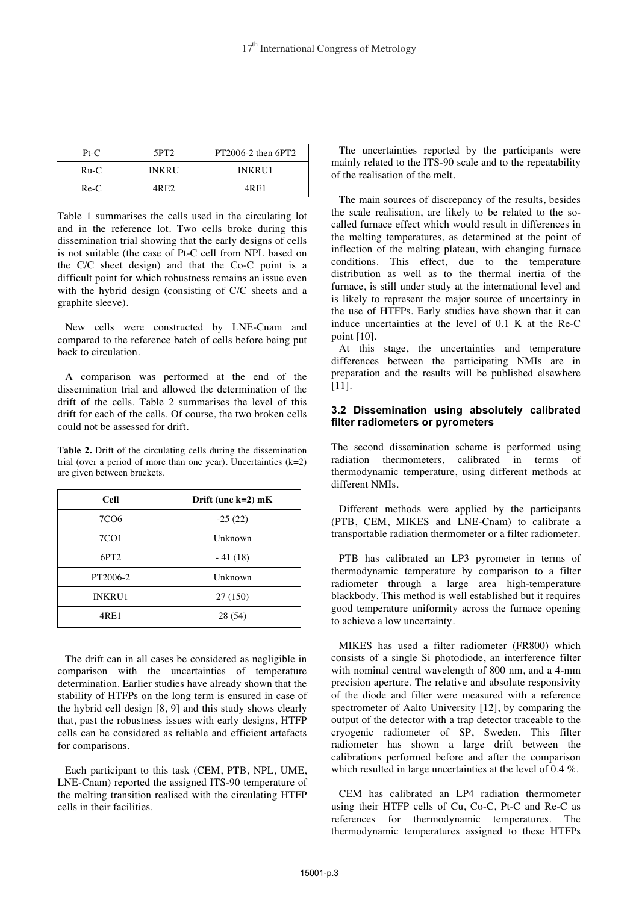| $Pt-C$ | 5PT <sub>2</sub> | $PT2006-2$ then $6PT2$ |
|--------|------------------|------------------------|
| $Ru-C$ | <b>INKRU</b>     | <b>INKRU1</b>          |
| $Re-C$ | 4R F.2           | 4R F.1                 |

Table 1 summarises the cells used in the circulating lot and in the reference lot. Two cells broke during this dissemination trial showing that the early designs of cells is not suitable (the case of Pt-C cell from NPL based on the C/C sheet design) and that the Co-C point is a difficult point for which robustness remains an issue even with the hybrid design (consisting of C/C sheets and a graphite sleeve).

 New cells were constructed by LNE-Cnam and compared to the reference batch of cells before being put back to circulation.

 A comparison was performed at the end of the dissemination trial and allowed the determination of the drift of the cells. Table 2 summarises the level of this drift for each of the cells. Of course, the two broken cells could not be assessed for drift.

**Table 2.** Drift of the circulating cells during the dissemination trial (over a period of more than one year). Uncertainties  $(k=2)$ are given between brackets.

| <b>Cell</b>      | Drift (unc $k=2$ ) mK |
|------------------|-----------------------|
| 7CO <sub>6</sub> | $-25(22)$             |
| 7CO1             | Unknown               |
| 6PT <sub>2</sub> | $-41(18)$             |
| PT2006-2         | Unknown               |
| <b>INKRU1</b>    | 27 (150)              |
| 4RE1             | 28 (54)               |

 The drift can in all cases be considered as negligible in comparison with the uncertainties of temperature determination. Earlier studies have already shown that the stability of HTFPs on the long term is ensured in case of the hybrid cell design [8, 9] and this study shows clearly that, past the robustness issues with early designs, HTFP cells can be considered as reliable and efficient artefacts for comparisons.

 Each participant to this task (CEM, PTB, NPL, UME, LNE-Cnam) reported the assigned ITS-90 temperature of the melting transition realised with the circulating HTFP cells in their facilities.

 The uncertainties reported by the participants were mainly related to the ITS-90 scale and to the repeatability of the realisation of the melt.

 The main sources of discrepancy of the results, besides the scale realisation, are likely to be related to the socalled furnace effect which would result in differences in the melting temperatures, as determined at the point of inflection of the melting plateau, with changing furnace conditions. This effect, due to the temperature distribution as well as to the thermal inertia of the furnace, is still under study at the international level and is likely to represent the major source of uncertainty in the use of HTFPs. Early studies have shown that it can induce uncertainties at the level of 0.1 K at the Re-C point [10].

 At this stage, the uncertainties and temperature differences between the participating NMIs are in preparation and the results will be published elsewhere [11].

### **3.2 Dissemination using absolutely calibrated filter radiometers or pyrometers**

The second dissemination scheme is performed using radiation thermometers, calibrated in terms of thermodynamic temperature, using different methods at different NMIs.

 Different methods were applied by the participants (PTB, CEM, MIKES and LNE-Cnam) to calibrate a transportable radiation thermometer or a filter radiometer.

 PTB has calibrated an LP3 pyrometer in terms of thermodynamic temperature by comparison to a filter radiometer through a large area high-temperature blackbody. This method is well established but it requires good temperature uniformity across the furnace opening to achieve a low uncertainty.

 MIKES has used a filter radiometer (FR800) which consists of a single Si photodiode, an interference filter with nominal central wavelength of 800 nm, and a 4-mm precision aperture. The relative and absolute responsivity of the diode and filter were measured with a reference spectrometer of Aalto University [12], by comparing the output of the detector with a trap detector traceable to the cryogenic radiometer of SP, Sweden. This filter radiometer has shown a large drift between the calibrations performed before and after the comparison which resulted in large uncertainties at the level of 0.4 %.

 CEM has calibrated an LP4 radiation thermometer using their HTFP cells of Cu, Co-C, Pt-C and Re-C as references for thermodynamic temperatures. The thermodynamic temperatures assigned to these HTFPs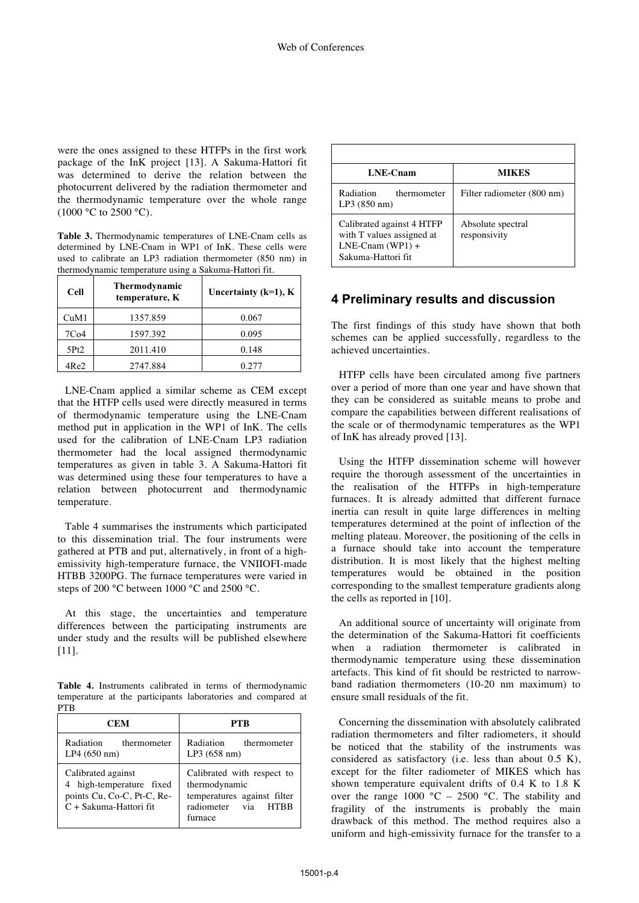were the ones assigned to these HTFPs in the first work package of the InK project [13]. A Sakuma-Hattori fit was determined to derive the relation between the photocurrent delivered by the radiation thermometer and the thermodynamic temperature over the whole range  $(1000 °C)$  to 2500 °C).

**Table 3.** Thermodynamic temperatures of LNE-Cnam cells as determined by LNE-Cnam in WP1 of InK. These cells were used to calibrate an LP3 radiation thermometer (850 nm) in thermodynamic temperature using a Sakuma-Hattori fit.

| <b>Cell</b>      | <b>Thermodynamic</b><br>temperature, K | Uncertainty ( $k=1$ ), $K$ |
|------------------|----------------------------------------|----------------------------|
| CuM1             | 1357.859                               | 0.067                      |
| 7C <sub>04</sub> | 1597.392                               | 0.095                      |
| 5Pt2             | 2011.410                               | 0.148                      |
| 4Re2             | 2747.884                               | 0.277                      |

 LNE-Cnam applied a similar scheme as CEM except that the HTFP cells used were directly measured in terms of thermodynamic temperature using the LNE-Cnam method put in application in the WP1 of InK. The cells used for the calibration of LNE-Cnam LP3 radiation thermometer had the local assigned thermodynamic temperatures as given in table 3. A Sakuma-Hattori fit was determined using these four temperatures to have a relation between photocurrent and thermodynamic temperature.

 Table 4 summarises the instruments which participated to this dissemination trial. The four instruments were gathered at PTB and put, alternatively, in front of a highemissivity high-temperature furnace, the VNIIOFI-made HTBB 3200PG. The furnace temperatures were varied in steps of 200 °C between 1000 °C and 2500 °C.

 At this stage, the uncertainties and temperature differences between the participating instruments are under study and the results will be published elsewhere [11].

**Table 4.** Instruments calibrated in terms of thermodynamic temperature at the participants laboratories and compared at PTB

| <b>CEM</b>                                                                                             | PTR                                                                                                          |
|--------------------------------------------------------------------------------------------------------|--------------------------------------------------------------------------------------------------------------|
| Radiation<br>thermometer<br>LP4(650 nm)                                                                | Radiation thermometer<br>LP3(658 nm)                                                                         |
| Calibrated against<br>4 high-temperature fixed<br>points Cu, Co-C, Pt-C, Re-<br>C + Sakuma-Hattori fit | Calibrated with respect to<br>thermodynamic<br>temperatures against filter<br>radiometer via HTBB<br>furnace |

| LNE-Cnam                                                                                           | <b>MIKES</b>                      |
|----------------------------------------------------------------------------------------------------|-----------------------------------|
| Radiation<br>thermometer<br>LP3(850 nm)                                                            | Filter radiometer (800 nm)        |
| Calibrated against 4 HTFP<br>with T values assigned at<br>$LNE-Cnam (WP1) +$<br>Sakuma-Hattori fit | Absolute spectral<br>responsivity |

 $\overline{\phantom{a}}$ 

### **4 Preliminary results and discussion**

The first findings of this study have shown that both schemes can be applied successfully, regardless to the achieved uncertainties.

 HTFP cells have been circulated among five partners over a period of more than one year and have shown that they can be considered as suitable means to probe and compare the capabilities between different realisations of the scale or of thermodynamic temperatures as the WP1 of InK has already proved [13].

 Using the HTFP dissemination scheme will however require the thorough assessment of the uncertainties in the realisation of the HTFPs in high-temperature furnaces. It is already admitted that different furnace inertia can result in quite large differences in melting temperatures determined at the point of inflection of the melting plateau. Moreover, the positioning of the cells in a furnace should take into account the temperature distribution. It is most likely that the highest melting temperatures would be obtained in the position corresponding to the smallest temperature gradients along the cells as reported in [10].

 An additional source of uncertainty will originate from the determination of the Sakuma-Hattori fit coefficients when a radiation thermometer is calibrated in thermodynamic temperature using these dissemination artefacts. This kind of fit should be restricted to narrowband radiation thermometers (10-20 nm maximum) to ensure small residuals of the fit.

 Concerning the dissemination with absolutely calibrated radiation thermometers and filter radiometers, it should be noticed that the stability of the instruments was considered as satisfactory (i.e. less than about 0.5 K), except for the filter radiometer of MIKES which has shown temperature equivalent drifts of 0.4 K to 1.8 K over the range  $1000\text{ °C} - 2500\text{ °C}$ . The stability and fragility of the instruments is probably the main drawback of this method. The method requires also a uniform and high-emissivity furnace for the transfer to a